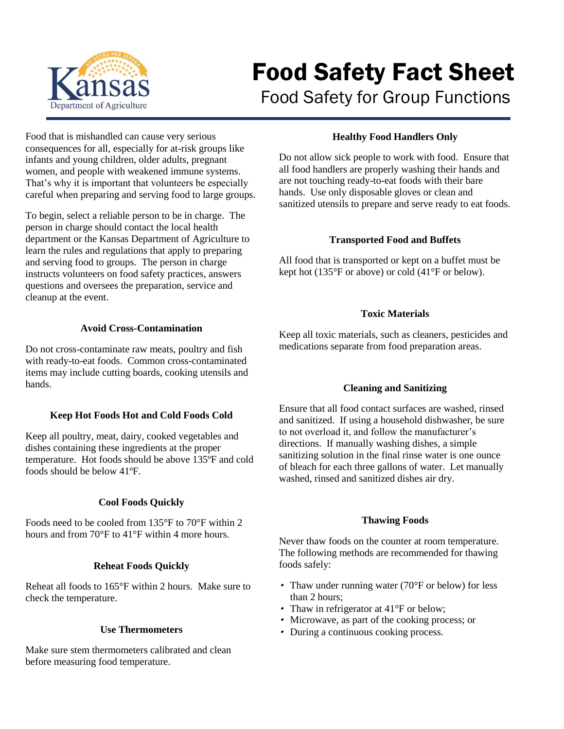

# Food Safety Fact Sheet

Food Safety for Group Functions

Food that is mishandled can cause very serious consequences for all, especially for at-risk groups like infants and young children, older adults, pregnant women, and people with weakened immune systems. That's why it is important that volunteers be especially careful when preparing and serving food to large groups.

To begin, select a reliable person to be in charge. The person in charge should contact the local health department or the Kansas Department of Agriculture to learn the rules and regulations that apply to preparing and serving food to groups. The person in charge instructs volunteers on food safety practices, answers questions and oversees the preparation, service and cleanup at the event.

# **Avoid Cross-Contamination**

Do not cross-contaminate raw meats, poultry and fish with ready-to-eat foods. Common cross-contaminated items may include cutting boards, cooking utensils and hands.

# **Keep Hot Foods Hot and Cold Foods Cold**

Keep all poultry, meat, dairy, cooked vegetables and dishes containing these ingredients at the proper temperature. Hot foods should be above 135ºF and cold foods should be below 41ºF.

#### **Cool Foods Quickly**

Foods need to be cooled from 135°F to 70°F within 2 hours and from 70°F to 41°F within 4 more hours.

# **Reheat Foods Quickly**

Reheat all foods to 165°F within 2 hours. Make sure to check the temperature.

#### **Use Thermometers**

Make sure stem thermometers calibrated and clean before measuring food temperature.

# **Healthy Food Handlers Only**

Do not allow sick people to work with food. Ensure that all food handlers are properly washing their hands and are not touching ready-to-eat foods with their bare hands. Use only disposable gloves or clean and sanitized utensils to prepare and serve ready to eat foods.

## **Transported Food and Buffets**

All food that is transported or kept on a buffet must be kept hot (135°F or above) or cold (41°F or below).

# **Toxic Materials**

Keep all toxic materials, such as cleaners, pesticides and medications separate from food preparation areas.

# **Cleaning and Sanitizing**

Ensure that all food contact surfaces are washed, rinsed and sanitized. If using a household dishwasher, be sure to not overload it, and follow the manufacturer's directions. If manually washing dishes, a simple sanitizing solution in the final rinse water is one ounce of bleach for each three gallons of water. Let manually washed, rinsed and sanitized dishes air dry.

#### **Thawing Foods**

Never thaw foods on the counter at room temperature. The following methods are recommended for thawing foods safely:

- Thaw under running water (70°F or below) for less than 2 hours;
- Thaw in refrigerator at 41°F or below;
- Microwave, as part of the cooking process; or
- During a continuous cooking process.